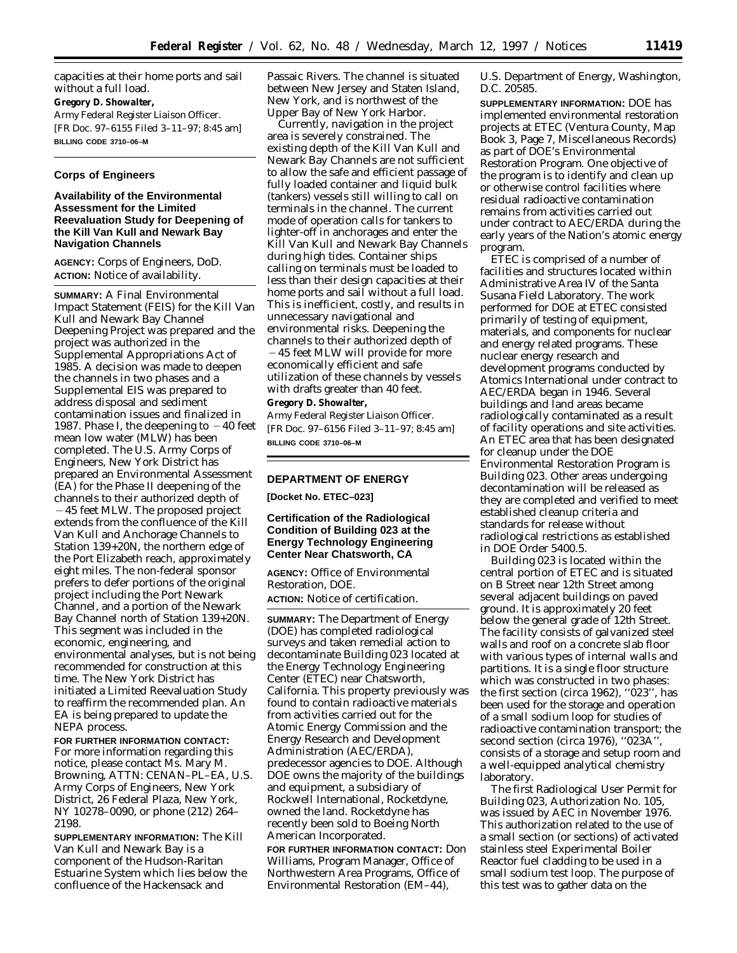capacities at their home ports and sail without a full load. **Gregory D. Showalter,** *Army Federal Register Liaison Officer.* [FR Doc. 97–6155 Filed 3–11–97; 8:45 am] **BILLING CODE 3710–06–M**

### **Corps of Engineers**

# **Availability of the Environmental Assessment for the Limited Reevaluation Study for Deepening of the Kill Van Kull and Newark Bay Navigation Channels**

**AGENCY:** Corps of Engineers, DoD. **ACTION:** Notice of availability.

**SUMMARY:** A Final Environmental Impact Statement (FEIS) for the Kill Van Kull and Newark Bay Channel Deepening Project was prepared and the project was authorized in the Supplemental Appropriations Act of 1985. A decision was made to deepen the channels in two phases and a Supplemental EIS was prepared to address disposal and sediment contamination issues and finalized in 1987. Phase I, the deepening to  $-40$  feet mean low water (MLW) has been completed. The U.S. Army Corps of Engineers, New York District has prepared an Environmental Assessment (EA) for the Phase II deepening of the channels to their authorized depth of  $-45$  feet MLW. The proposed project extends from the confluence of the Kill Van Kull and Anchorage Channels to Station 139+20N, the northern edge of the Port Elizabeth reach, approximately eight miles. The non-federal sponsor prefers to defer portions of the original project including the Port Newark Channel, and a portion of the Newark Bay Channel north of Station 139+20N. This segment was included in the economic, engineering, and environmental analyses, but is not being recommended for construction at this time. The New York District has initiated a Limited Reevaluation Study to reaffirm the recommended plan. An EA is being prepared to update the NEPA process.

**FOR FURTHER INFORMATION CONTACT:** For more information regarding this notice, please contact Ms. Mary M. Browning, ATTN: CENAN–PL–EA, U.S. Army Corps of Engineers, New York District, 26 Federal Plaza, New York, NY 10278–0090, or phone (212) 264– 2198.

**SUPPLEMENTARY INFORMATION:** The Kill Van Kull and Newark Bay is a component of the Hudson-Raritan Estuarine System which lies below the confluence of the Hackensack and

Passaic Rivers. The channel is situated between New Jersey and Staten Island, New York, and is northwest of the Upper Bay of New York Harbor.

Currently, navigation in the project area is severely constrained. The existing depth of the Kill Van Kull and Newark Bay Channels are not sufficient to allow the safe and efficient passage of fully loaded container and liquid bulk (tankers) vessels still willing to call on terminals in the channel. The current mode of operation calls for tankers to lighter-off in anchorages and enter the Kill Van Kull and Newark Bay Channels during high tides. Container ships calling on terminals must be loaded to less than their design capacities at their home ports and sail without a full load. This is inefficient, costly, and results in unnecessary navigational and environmental risks. Deepening the channels to their authorized depth of  $-45$  feet MLW will provide for more economically efficient and safe utilization of these channels by vessels with drafts greater than 40 feet. **Gregory D. Showalter,**

*Army Federal Register Liaison Officer.* [FR Doc. 97–6156 Filed 3–11–97; 8:45 am] **BILLING CODE 3710–06–M**

### **DEPARTMENT OF ENERGY**

**[Docket No. ETEC–023]**

# **Certification of the Radiological Condition of Building 023 at the Energy Technology Engineering Center Near Chatsworth, CA**

**AGENCY:** Office of Environmental Restoration, DOE.

**ACTION:** Notice of certification.

**SUMMARY:** The Department of Energy (DOE) has completed radiological surveys and taken remedial action to decontaminate Building 023 located at the Energy Technology Engineering Center (ETEC) near Chatsworth, California. This property previously was found to contain radioactive materials from activities carried out for the Atomic Energy Commission and the Energy Research and Development Administration (AEC/ERDA), predecessor agencies to DOE. Although DOE owns the majority of the buildings and equipment, a subsidiary of Rockwell International, Rocketdyne, owned the land. Rocketdyne has recently been sold to Boeing North American Incorporated.

**FOR FURTHER INFORMATION CONTACT:** Don Williams, Program Manager, Office of Northwestern Area Programs, Office of Environmental Restoration (EM–44),

U.S. Department of Energy, Washington, D.C. 20585.

**SUPPLEMENTARY INFORMATION:** DOE has implemented environmental restoration projects at ETEC (Ventura County, Map Book 3, Page 7, Miscellaneous Records) as part of DOE's Environmental Restoration Program. One objective of the program is to identify and clean up or otherwise control facilities where residual radioactive contamination remains from activities carried out under contract to AEC/ERDA during the early years of the Nation's atomic energy program.

ETEC is comprised of a number of facilities and structures located within Administrative Area IV of the Santa Susana Field Laboratory. The work performed for DOE at ETEC consisted primarily of testing of equipment, materials, and components for nuclear and energy related programs. These nuclear energy research and development programs conducted by Atomics International under contract to AEC/ERDA began in 1946. Several buildings and land areas became radiologically contaminated as a result of facility operations and site activities. An ETEC area that has been designated for cleanup under the DOE Environmental Restoration Program is Building 023. Other areas undergoing decontamination will be released as they are completed and verified to meet established cleanup criteria and standards for release without radiological restrictions as established in DOE Order 5400.5.

Building 023 is located within the central portion of ETEC and is situated on B Street near 12th Street among several adjacent buildings on paved ground. It is approximately 20 feet below the general grade of 12th Street. The facility consists of galvanized steel walls and roof on a concrete slab floor with various types of internal walls and partitions. It is a single floor structure which was constructed in two phases: the first section (circa 1962), ''023'', has been used for the storage and operation of a small sodium loop for studies of radioactive contamination transport; the second section (circa 1976), ''023A'', consists of a storage and setup room and a well-equipped analytical chemistry laboratory.

The first Radiological User Permit for Building 023, Authorization No. 105, was issued by AEC in November 1976. This authorization related to the use of a small section (or sections) of activated stainless steel Experimental Boiler Reactor fuel cladding to be used in a small sodium test loop. The purpose of this test was to gather data on the